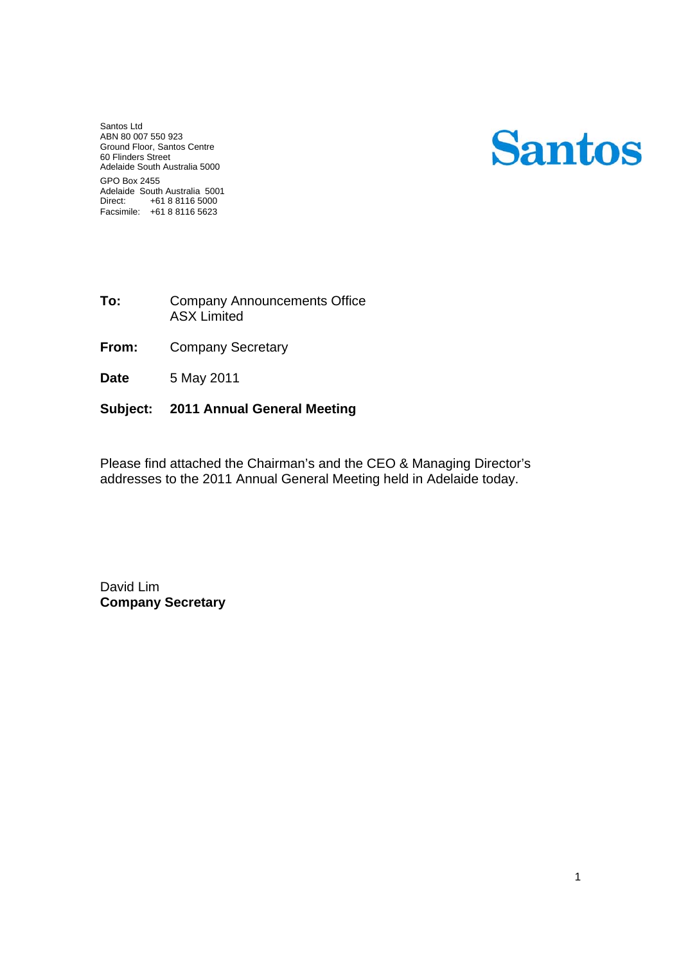Santos Ltd ABN 80 007 550 923 Ground Floor, Santos Centre 60 Flinders Street Adelaide South Australia 5000 GPO Box 2455 Adelaide South Australia 5001 Direct: +61 8 8116 5000 Facsimile: +61 8 8116 5623

# **Santos**

- **To:** Company Announcements Office ASX Limited
- **From:** Company Secretary
- **Date**  5 May 2011

#### **Subject: 2011 Annual General Meeting**

Please find attached the Chairman's and the CEO & Managing Director's addresses to the 2011 Annual General Meeting held in Adelaide today.

David Lim **Company Secretary**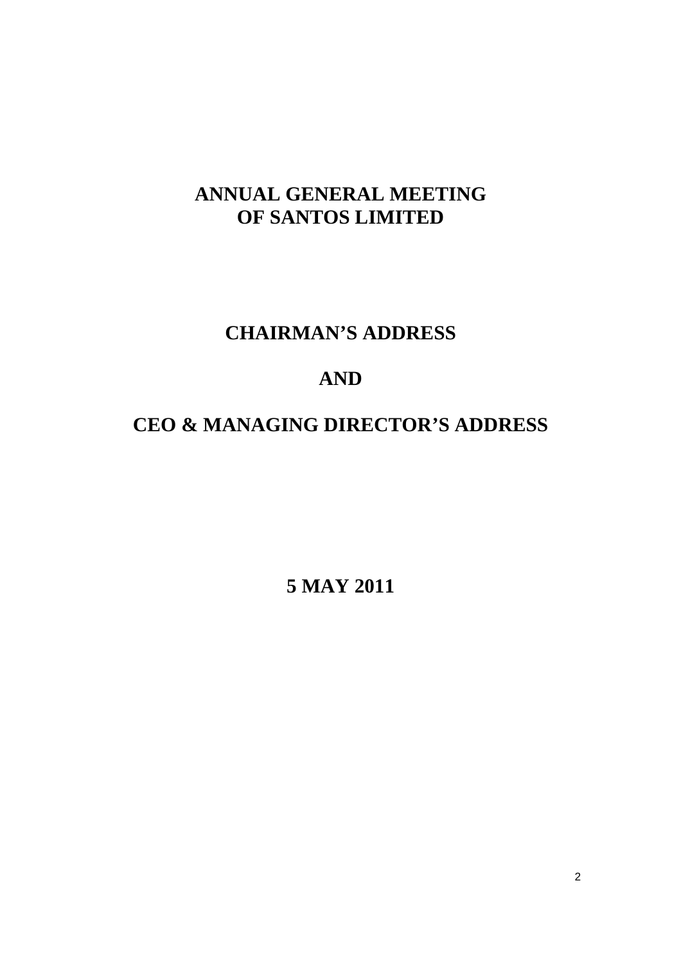## **ANNUAL GENERAL MEETING OF SANTOS LIMITED**

### **CHAIRMAN'S ADDRESS**

### **AND**

# **CEO & MANAGING DIRECTOR'S ADDRESS**

**5 MAY 2011**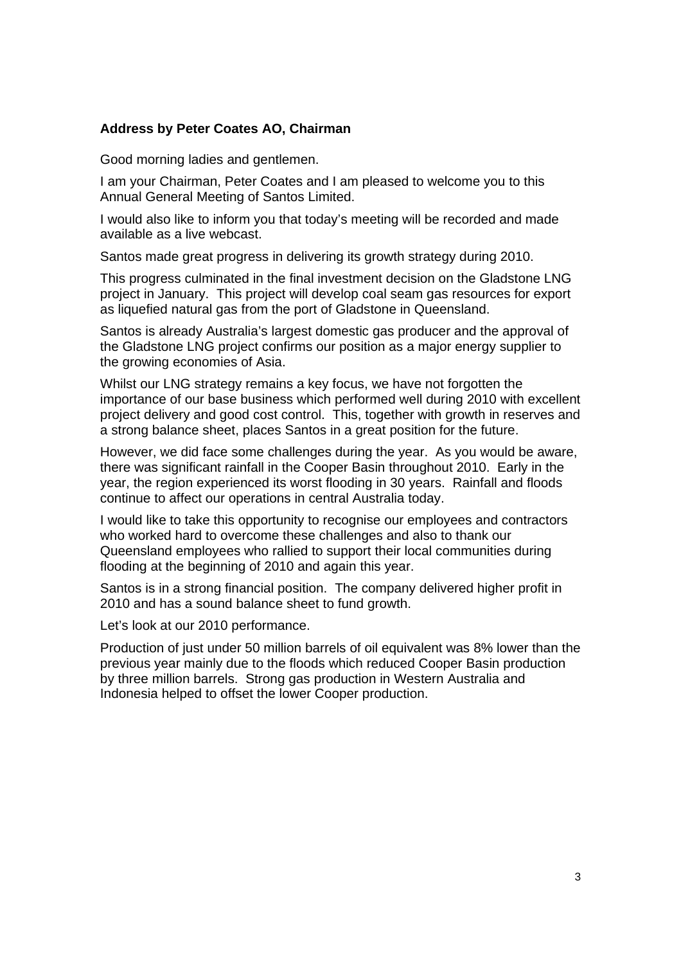#### **Address by Peter Coates AO, Chairman**

Good morning ladies and gentlemen.

I am your Chairman, Peter Coates and I am pleased to welcome you to this Annual General Meeting of Santos Limited.

I would also like to inform you that today's meeting will be recorded and made available as a live webcast.

Santos made great progress in delivering its growth strategy during 2010.

This progress culminated in the final investment decision on the Gladstone LNG project in January. This project will develop coal seam gas resources for export as liquefied natural gas from the port of Gladstone in Queensland.

Santos is already Australia's largest domestic gas producer and the approval of the Gladstone LNG project confirms our position as a major energy supplier to the growing economies of Asia.

Whilst our LNG strategy remains a key focus, we have not forgotten the importance of our base business which performed well during 2010 with excellent project delivery and good cost control. This, together with growth in reserves and a strong balance sheet, places Santos in a great position for the future.

However, we did face some challenges during the year. As you would be aware, there was significant rainfall in the Cooper Basin throughout 2010. Early in the year, the region experienced its worst flooding in 30 years. Rainfall and floods continue to affect our operations in central Australia today.

I would like to take this opportunity to recognise our employees and contractors who worked hard to overcome these challenges and also to thank our Queensland employees who rallied to support their local communities during flooding at the beginning of 2010 and again this year.

Santos is in a strong financial position. The company delivered higher profit in 2010 and has a sound balance sheet to fund growth.

Let's look at our 2010 performance.

Production of just under 50 million barrels of oil equivalent was 8% lower than the previous year mainly due to the floods which reduced Cooper Basin production by three million barrels. Strong gas production in Western Australia and Indonesia helped to offset the lower Cooper production.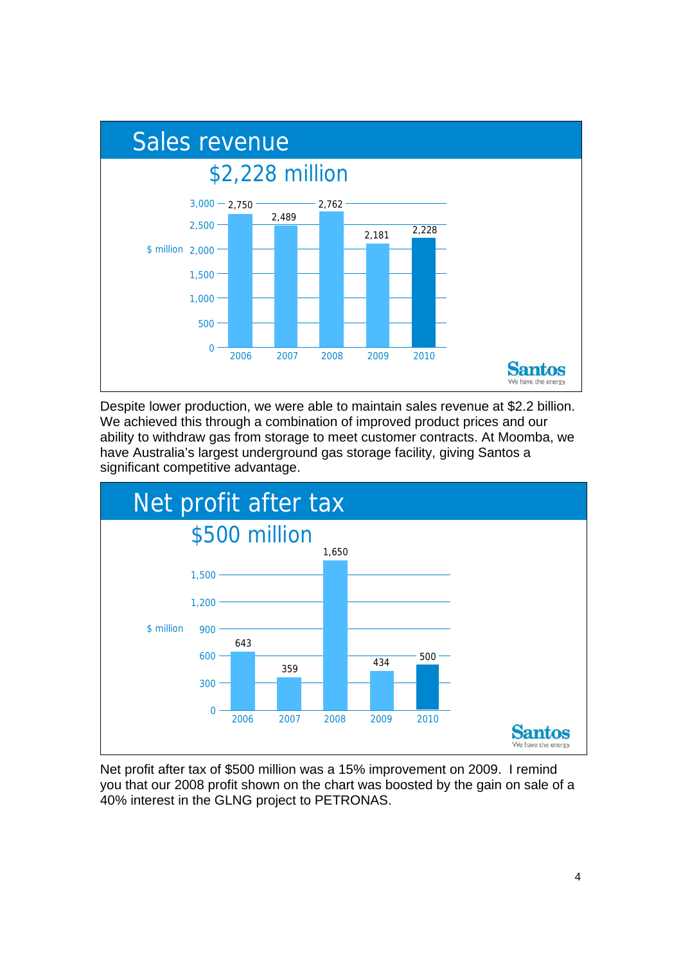

Despite lower production, we were able to maintain sales revenue at \$2.2 billion. We achieved this through a combination of improved product prices and our ability to withdraw gas from storage to meet customer contracts. At Moomba, we have Australia's largest underground gas storage facility, giving Santos a significant competitive advantage.



Net profit after tax of \$500 million was a 15% improvement on 2009. I remind you that our 2008 profit shown on the chart was boosted by the gain on sale of a 40% interest in the GLNG project to PETRONAS.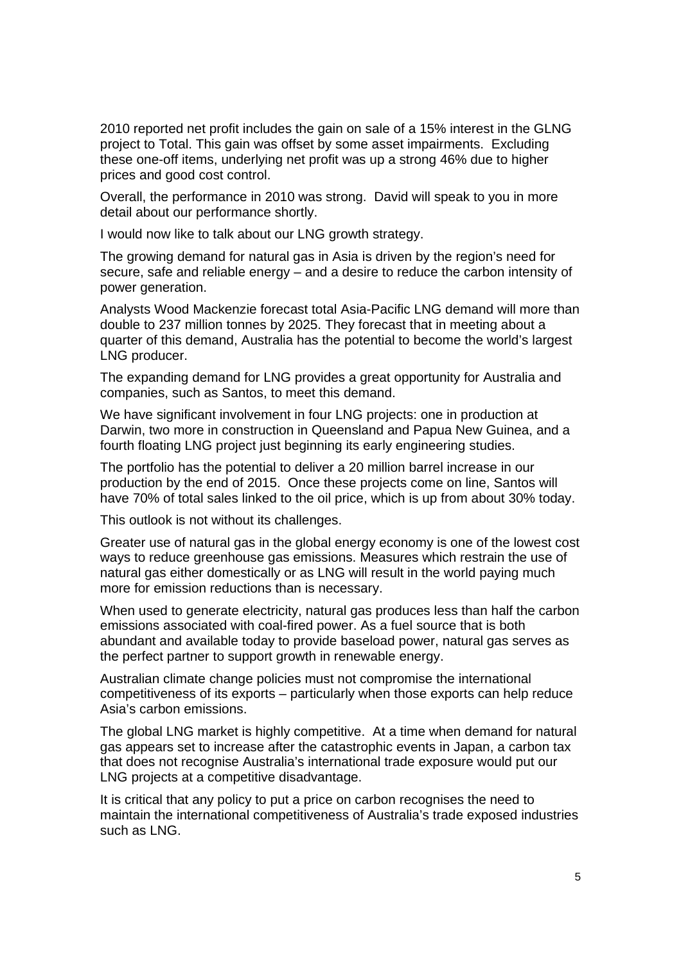2010 reported net profit includes the gain on sale of a 15% interest in the GLNG project to Total. This gain was offset by some asset impairments. Excluding these one-off items, underlying net profit was up a strong 46% due to higher prices and good cost control.

Overall, the performance in 2010 was strong. David will speak to you in more detail about our performance shortly.

I would now like to talk about our LNG growth strategy.

The growing demand for natural gas in Asia is driven by the region's need for secure, safe and reliable energy – and a desire to reduce the carbon intensity of power generation.

Analysts Wood Mackenzie forecast total Asia-Pacific LNG demand will more than double to 237 million tonnes by 2025. They forecast that in meeting about a quarter of this demand, Australia has the potential to become the world's largest LNG producer.

The expanding demand for LNG provides a great opportunity for Australia and companies, such as Santos, to meet this demand.

We have significant involvement in four LNG projects: one in production at Darwin, two more in construction in Queensland and Papua New Guinea, and a fourth floating LNG project just beginning its early engineering studies.

The portfolio has the potential to deliver a 20 million barrel increase in our production by the end of 2015. Once these projects come on line, Santos will have 70% of total sales linked to the oil price, which is up from about 30% today.

This outlook is not without its challenges.

Greater use of natural gas in the global energy economy is one of the lowest cost ways to reduce greenhouse gas emissions. Measures which restrain the use of natural gas either domestically or as LNG will result in the world paying much more for emission reductions than is necessary.

When used to generate electricity, natural gas produces less than half the carbon emissions associated with coal-fired power. As a fuel source that is both abundant and available today to provide baseload power, natural gas serves as the perfect partner to support growth in renewable energy.

Australian climate change policies must not compromise the international competitiveness of its exports – particularly when those exports can help reduce Asia's carbon emissions.

The global LNG market is highly competitive. At a time when demand for natural gas appears set to increase after the catastrophic events in Japan, a carbon tax that does not recognise Australia's international trade exposure would put our LNG projects at a competitive disadvantage.

It is critical that any policy to put a price on carbon recognises the need to maintain the international competitiveness of Australia's trade exposed industries such as LNG.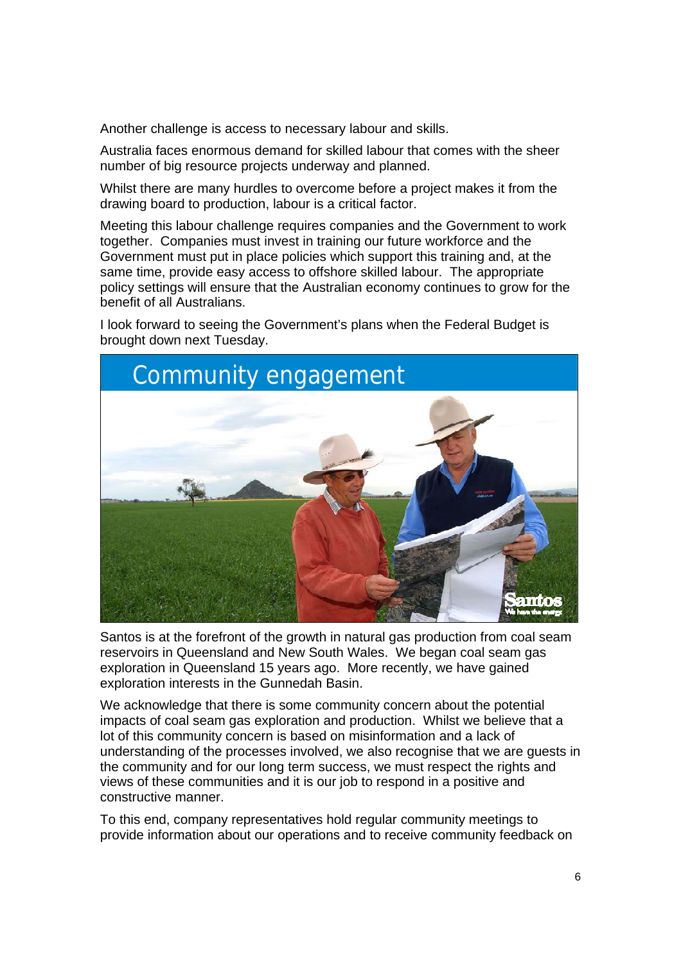Another challenge is access to necessary labour and skills.

Australia faces enormous demand for skilled labour that comes with the sheer number of big resource projects underway and planned.

Whilst there are many hurdles to overcome before a project makes it from the drawing board to production, labour is a critical factor.

Meeting this labour challenge requires companies and the Government to work together. Companies must invest in training our future workforce and the Government must put in place policies which support this training and, at the same time, provide easy access to offshore skilled labour. The appropriate policy settings will ensure that the Australian economy continues to grow for the benefit of all Australians.

I look forward to seeing the Government's plans when the Federal Budget is brought down next Tuesday.



Santos is at the forefront of the growth in natural gas production from coal seam reservoirs in Queensland and New South Wales. We began coal seam gas exploration in Queensland 15 years ago. More recently, we have gained exploration interests in the Gunnedah Basin.

We acknowledge that there is some community concern about the potential impacts of coal seam gas exploration and production. Whilst we believe that a lot of this community concern is based on misinformation and a lack of understanding of the processes involved, we also recognise that we are guests in the community and for our long term success, we must respect the rights and views of these communities and it is our job to respond in a positive and constructive manner.

To this end, company representatives hold regular community meetings to provide information about our operations and to receive community feedback on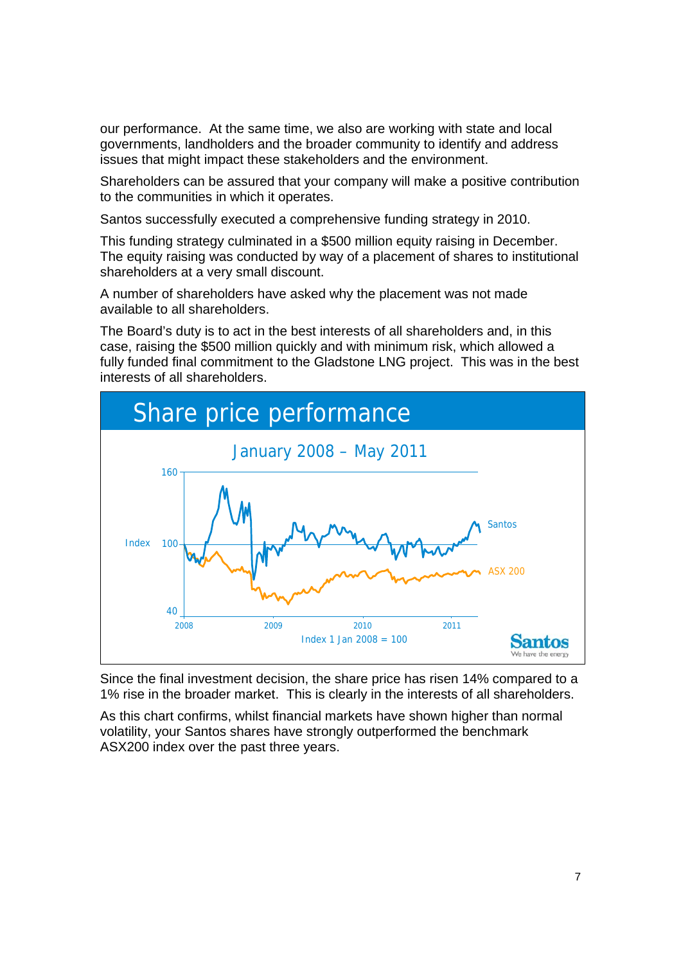our performance. At the same time, we also are working with state and local governments, landholders and the broader community to identify and address issues that might impact these stakeholders and the environment.

Shareholders can be assured that your company will make a positive contribution to the communities in which it operates.

Santos successfully executed a comprehensive funding strategy in 2010.

This funding strategy culminated in a \$500 million equity raising in December. The equity raising was conducted by way of a placement of shares to institutional shareholders at a very small discount.

A number of shareholders have asked why the placement was not made available to all shareholders.

The Board's duty is to act in the best interests of all shareholders and, in this case, raising the \$500 million quickly and with minimum risk, which allowed a fully funded final commitment to the Gladstone LNG project. This was in the best interests of all shareholders.



Since the final investment decision, the share price has risen 14% compared to a 1% rise in the broader market. This is clearly in the interests of all shareholders.

As this chart confirms, whilst financial markets have shown higher than normal volatility, your Santos shares have strongly outperformed the benchmark ASX200 index over the past three years.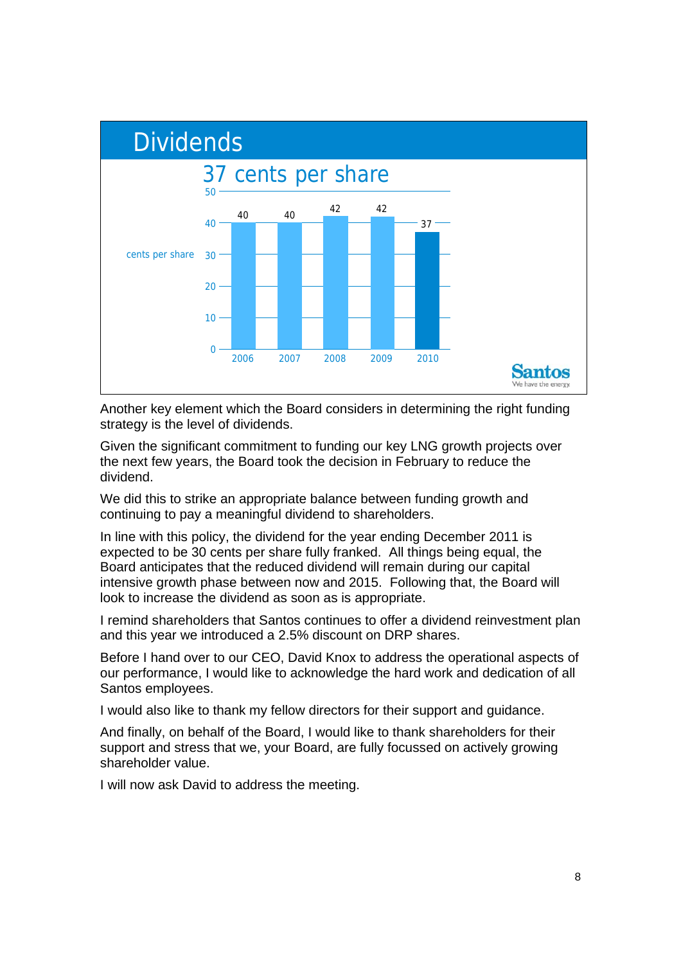

Another key element which the Board considers in determining the right funding strategy is the level of dividends.

Given the significant commitment to funding our key LNG growth projects over the next few years, the Board took the decision in February to reduce the dividend.

We did this to strike an appropriate balance between funding growth and continuing to pay a meaningful dividend to shareholders.

In line with this policy, the dividend for the year ending December 2011 is expected to be 30 cents per share fully franked. All things being equal, the Board anticipates that the reduced dividend will remain during our capital intensive growth phase between now and 2015. Following that, the Board will look to increase the dividend as soon as is appropriate.

I remind shareholders that Santos continues to offer a dividend reinvestment plan and this year we introduced a 2.5% discount on DRP shares.

Before I hand over to our CEO, David Knox to address the operational aspects of our performance, I would like to acknowledge the hard work and dedication of all Santos employees.

I would also like to thank my fellow directors for their support and guidance.

And finally, on behalf of the Board, I would like to thank shareholders for their support and stress that we, your Board, are fully focussed on actively growing shareholder value.

I will now ask David to address the meeting.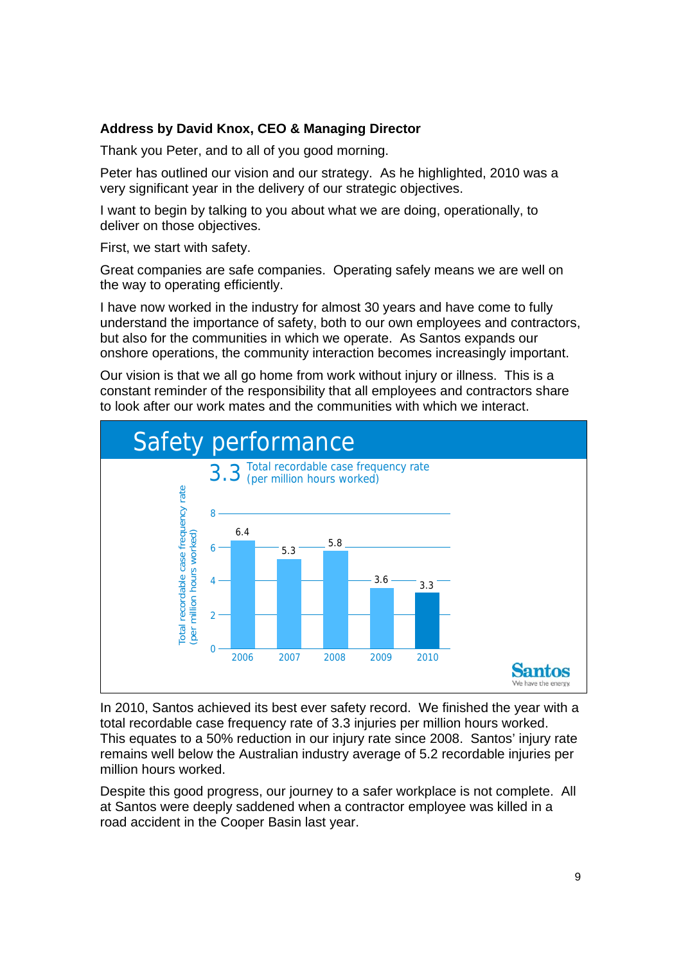#### **Address by David Knox, CEO & Managing Director**

Thank you Peter, and to all of you good morning.

Peter has outlined our vision and our strategy. As he highlighted, 2010 was a very significant year in the delivery of our strategic objectives.

I want to begin by talking to you about what we are doing, operationally, to deliver on those objectives.

First, we start with safety.

Great companies are safe companies. Operating safely means we are well on the way to operating efficiently.

I have now worked in the industry for almost 30 years and have come to fully understand the importance of safety, both to our own employees and contractors, but also for the communities in which we operate. As Santos expands our onshore operations, the community interaction becomes increasingly important.

Our vision is that we all go home from work without injury or illness. This is a constant reminder of the responsibility that all employees and contractors share to look after our work mates and the communities with which we interact.



In 2010, Santos achieved its best ever safety record. We finished the year with a total recordable case frequency rate of 3.3 injuries per million hours worked. This equates to a 50% reduction in our injury rate since 2008. Santos' injury rate remains well below the Australian industry average of 5.2 recordable injuries per million hours worked.

Despite this good progress, our journey to a safer workplace is not complete. All at Santos were deeply saddened when a contractor employee was killed in a road accident in the Cooper Basin last year.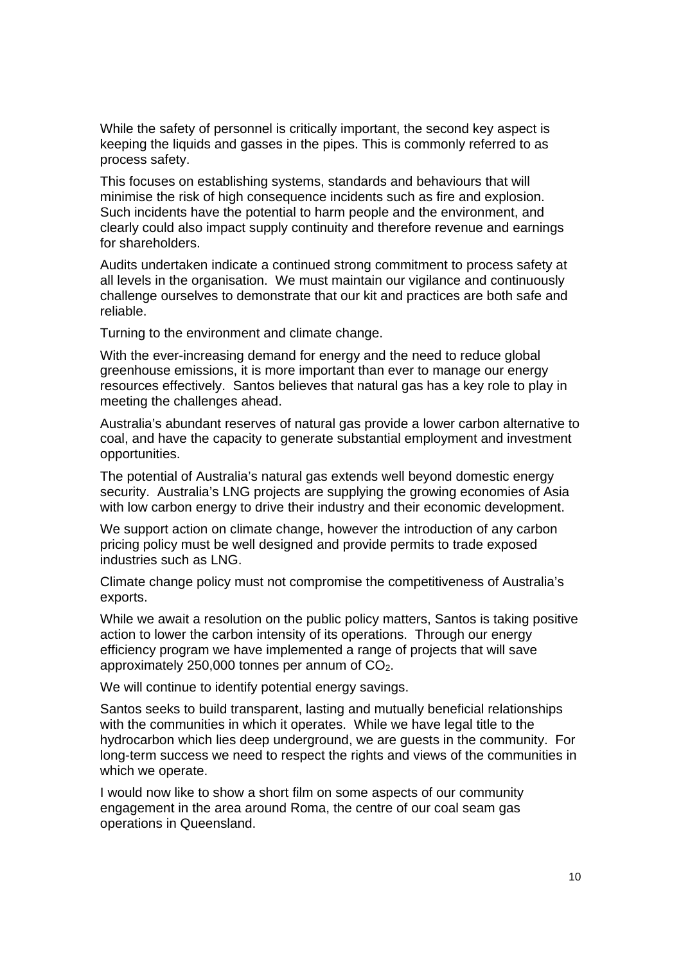While the safety of personnel is critically important, the second key aspect is keeping the liquids and gasses in the pipes. This is commonly referred to as process safety.

This focuses on establishing systems, standards and behaviours that will minimise the risk of high consequence incidents such as fire and explosion. Such incidents have the potential to harm people and the environment, and clearly could also impact supply continuity and therefore revenue and earnings for shareholders.

Audits undertaken indicate a continued strong commitment to process safety at all levels in the organisation. We must maintain our vigilance and continuously challenge ourselves to demonstrate that our kit and practices are both safe and reliable.

Turning to the environment and climate change.

With the ever-increasing demand for energy and the need to reduce global greenhouse emissions, it is more important than ever to manage our energy resources effectively. Santos believes that natural gas has a key role to play in meeting the challenges ahead.

Australia's abundant reserves of natural gas provide a lower carbon alternative to coal, and have the capacity to generate substantial employment and investment opportunities.

The potential of Australia's natural gas extends well beyond domestic energy security. Australia's LNG projects are supplying the growing economies of Asia with low carbon energy to drive their industry and their economic development.

We support action on climate change, however the introduction of any carbon pricing policy must be well designed and provide permits to trade exposed industries such as LNG.

Climate change policy must not compromise the competitiveness of Australia's exports.

While we await a resolution on the public policy matters, Santos is taking positive action to lower the carbon intensity of its operations. Through our energy efficiency program we have implemented a range of projects that will save approximately 250,000 tonnes per annum of  $CO<sub>2</sub>$ .

We will continue to identify potential energy savings.

Santos seeks to build transparent, lasting and mutually beneficial relationships with the communities in which it operates. While we have legal title to the hydrocarbon which lies deep underground, we are guests in the community. For long-term success we need to respect the rights and views of the communities in which we operate.

I would now like to show a short film on some aspects of our community engagement in the area around Roma, the centre of our coal seam gas operations in Queensland.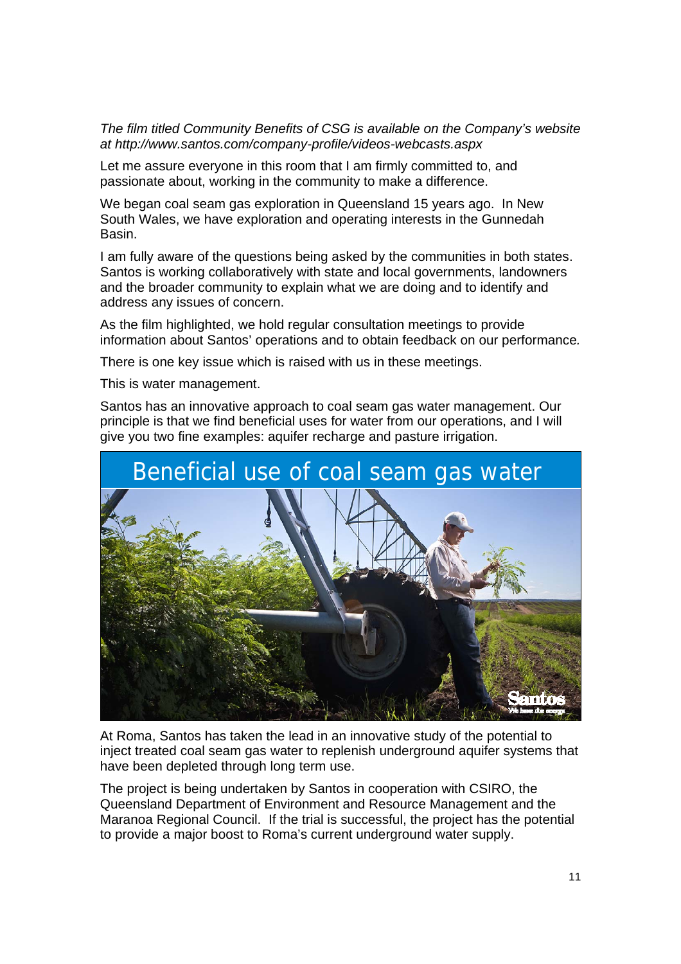*The film titled Community Benefits of CSG is available on the Company's website at http://www.santos.com/company-profile/videos-webcasts.aspx* 

Let me assure everyone in this room that I am firmly committed to, and passionate about, working in the community to make a difference.

We began coal seam gas exploration in Queensland 15 years ago. In New South Wales, we have exploration and operating interests in the Gunnedah Basin.

I am fully aware of the questions being asked by the communities in both states. Santos is working collaboratively with state and local governments, landowners and the broader community to explain what we are doing and to identify and address any issues of concern.

As the film highlighted, we hold regular consultation meetings to provide information about Santos' operations and to obtain feedback on our performance*.* 

There is one key issue which is raised with us in these meetings.

This is water management.

Santos has an innovative approach to coal seam gas water management. Our principle is that we find beneficial uses for water from our operations, and I will give you two fine examples: aquifer recharge and pasture irrigation.



At Roma, Santos has taken the lead in an innovative study of the potential to inject treated coal seam gas water to replenish underground aquifer systems that have been depleted through long term use.

The project is being undertaken by Santos in cooperation with CSIRO, the Queensland Department of Environment and Resource Management and the Maranoa Regional Council. If the trial is successful, the project has the potential to provide a major boost to Roma's current underground water supply.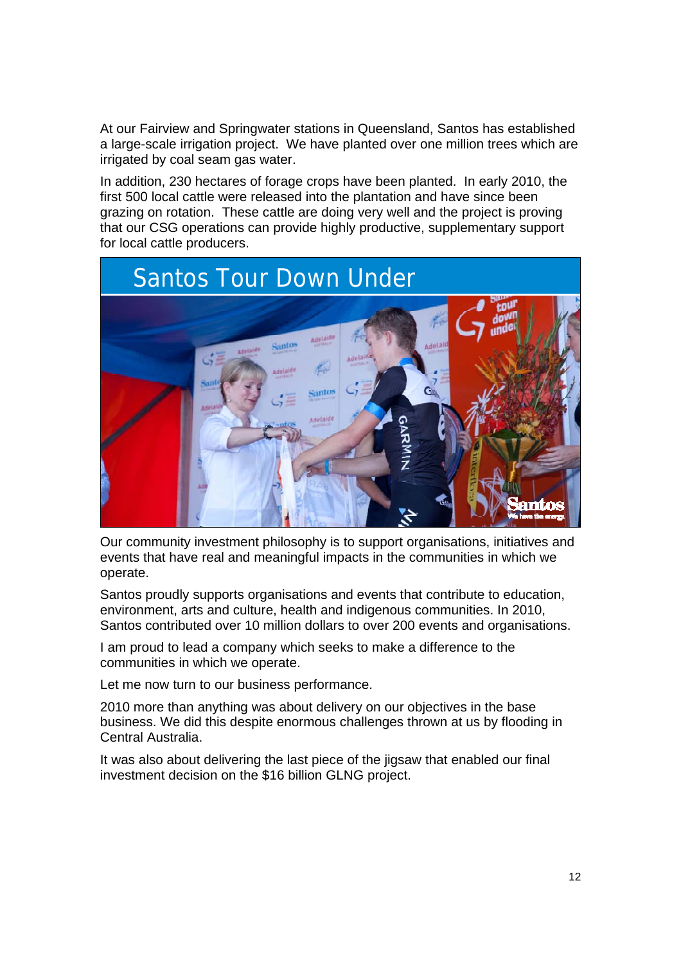At our Fairview and Springwater stations in Queensland, Santos has established a large-scale irrigation project. We have planted over one million trees which are irrigated by coal seam gas water.

In addition, 230 hectares of forage crops have been planted. In early 2010, the first 500 local cattle were released into the plantation and have since been grazing on rotation. These cattle are doing very well and the project is proving that our CSG operations can provide highly productive, supplementary support for local cattle producers.



Our community investment philosophy is to support organisations, initiatives and events that have real and meaningful impacts in the communities in which we operate.

Santos proudly supports organisations and events that contribute to education, environment, arts and culture, health and indigenous communities. In 2010, Santos contributed over 10 million dollars to over 200 events and organisations.

I am proud to lead a company which seeks to make a difference to the communities in which we operate.

Let me now turn to our business performance.

2010 more than anything was about delivery on our objectives in the base business. We did this despite enormous challenges thrown at us by flooding in Central Australia.

It was also about delivering the last piece of the jigsaw that enabled our final investment decision on the \$16 billion GLNG project.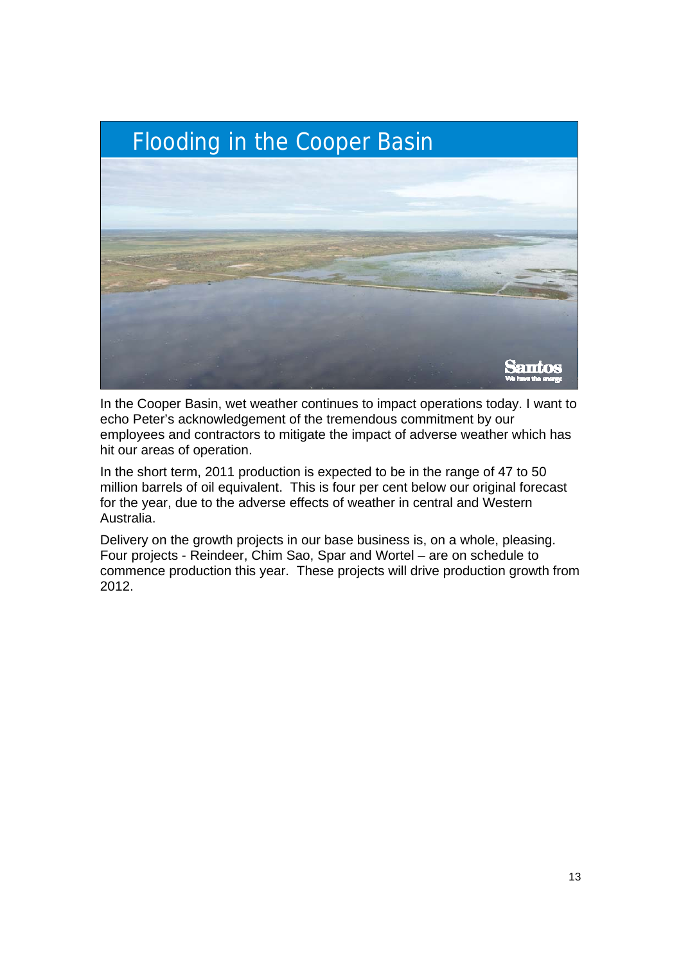

In the Cooper Basin, wet weather continues to impact operations today. I want to echo Peter's acknowledgement of the tremendous commitment by our employees and contractors to mitigate the impact of adverse weather which has hit our areas of operation.

In the short term, 2011 production is expected to be in the range of 47 to 50 million barrels of oil equivalent. This is four per cent below our original forecast for the year, due to the adverse effects of weather in central and Western Australia.

Delivery on the growth projects in our base business is, on a whole, pleasing. Four projects - Reindeer, Chim Sao, Spar and Wortel – are on schedule to commence production this year. These projects will drive production growth from 2012.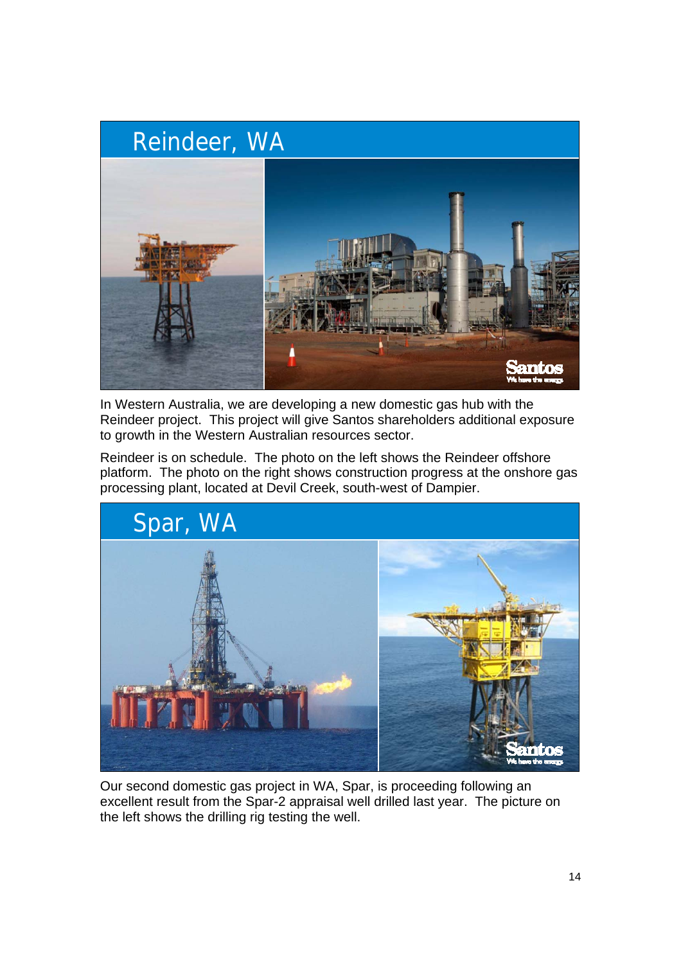

In Western Australia, we are developing a new domestic gas hub with the Reindeer project. This project will give Santos shareholders additional exposure to growth in the Western Australian resources sector.

Reindeer is on schedule. The photo on the left shows the Reindeer offshore platform. The photo on the right shows construction progress at the onshore gas processing plant, located at Devil Creek, south-west of Dampier.



Our second domestic gas project in WA, Spar, is proceeding following an excellent result from the Spar-2 appraisal well drilled last year. The picture on the left shows the drilling rig testing the well.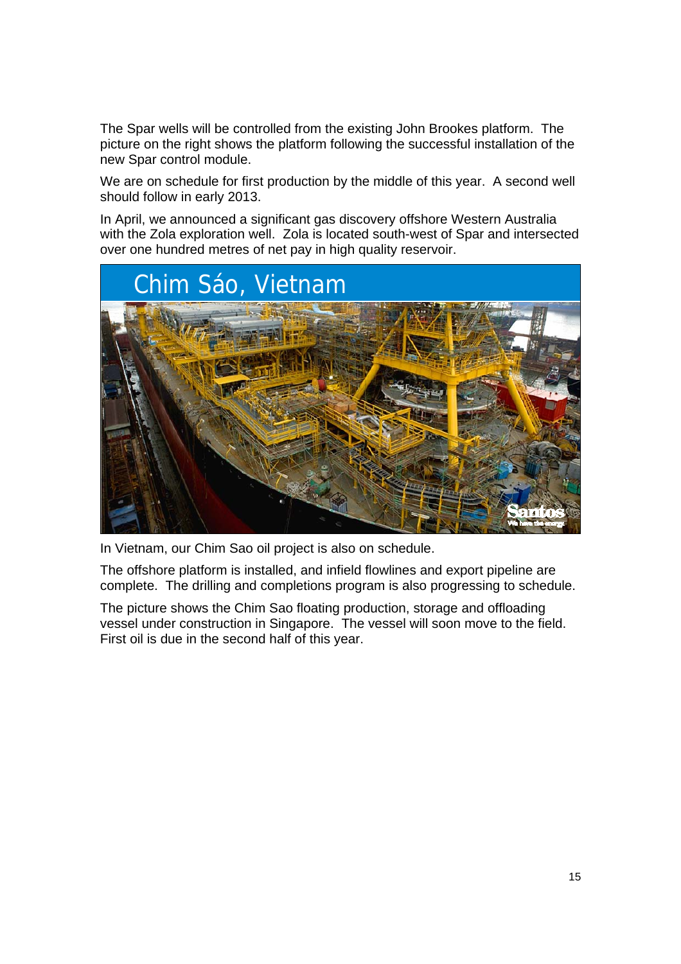The Spar wells will be controlled from the existing John Brookes platform. The picture on the right shows the platform following the successful installation of the new Spar control module.

We are on schedule for first production by the middle of this year. A second well should follow in early 2013.

In April, we announced a significant gas discovery offshore Western Australia with the Zola exploration well. Zola is located south-west of Spar and intersected over one hundred metres of net pay in high quality reservoir.



In Vietnam, our Chim Sao oil project is also on schedule.

The offshore platform is installed, and infield flowlines and export pipeline are complete. The drilling and completions program is also progressing to schedule.

The picture shows the Chim Sao floating production, storage and offloading vessel under construction in Singapore. The vessel will soon move to the field. First oil is due in the second half of this year.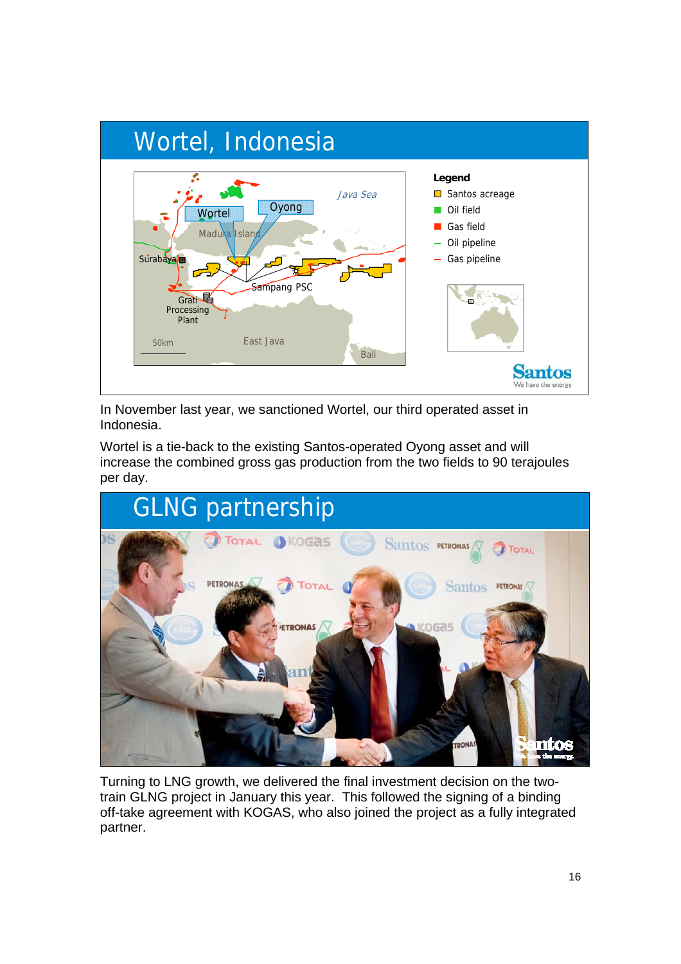

In November last year, we sanctioned Wortel, our third operated asset in Indonesia.

Wortel is a tie-back to the existing Santos-operated Oyong asset and will increase the combined gross gas production from the two fields to 90 terajoules per day.



Turning to LNG growth, we delivered the final investment decision on the twotrain GLNG project in January this year. This followed the signing of a binding off-take agreement with KOGAS, who also joined the project as a fully integrated partner.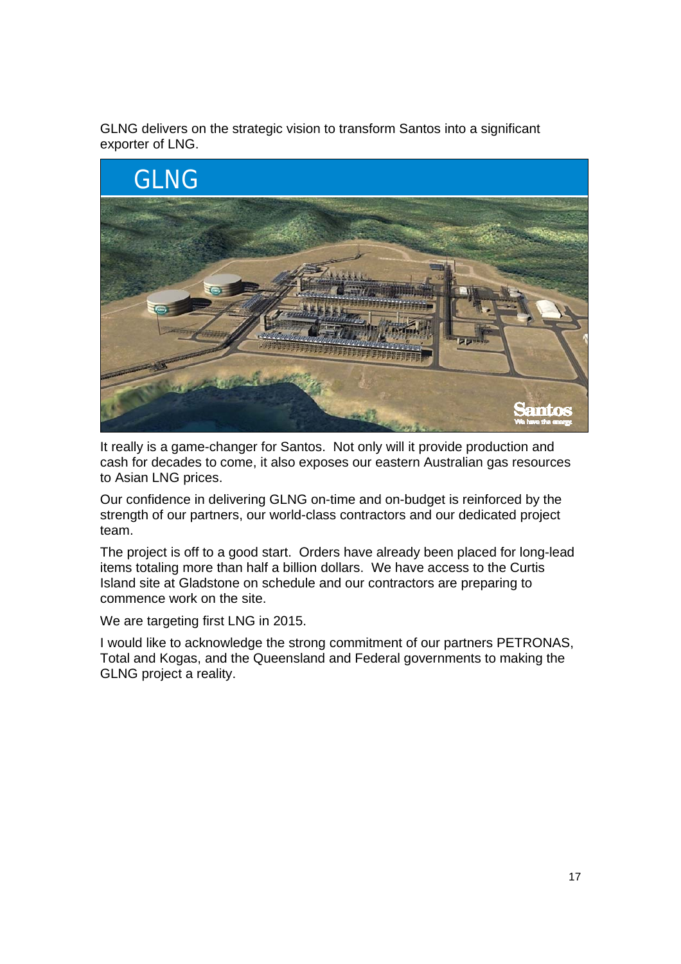GLNG delivers on the strategic vision to transform Santos into a significant exporter of LNG.



It really is a game-changer for Santos. Not only will it provide production and cash for decades to come, it also exposes our eastern Australian gas resources to Asian LNG prices.

Our confidence in delivering GLNG on-time and on-budget is reinforced by the strength of our partners, our world-class contractors and our dedicated project team.

The project is off to a good start. Orders have already been placed for long-lead items totaling more than half a billion dollars. We have access to the Curtis Island site at Gladstone on schedule and our contractors are preparing to commence work on the site.

We are targeting first LNG in 2015.

I would like to acknowledge the strong commitment of our partners PETRONAS, Total and Kogas, and the Queensland and Federal governments to making the GLNG project a reality.